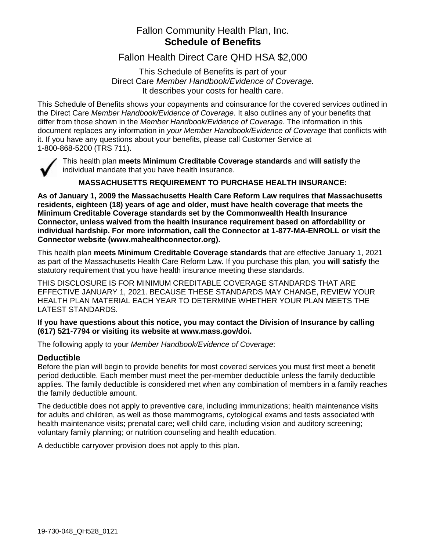## Fallon Community Health Plan, Inc. **Schedule of Benefits**

Fallon Health Direct Care QHD HSA \$2,000

This Schedule of Benefits is part of your Direct Care *Member Handbook/Evidence of Coverage.* It describes your costs for health care.

This Schedule of Benefits shows your copayments and coinsurance for the covered services outlined in the Direct Care *Member Handbook/Evidence of Coverage*. It also outlines any of your benefits that differ from those shown in the *Member Handbook/Evidence of Coverage*. The information in this document replaces any information in *your Member Handbook/Evidence of Coverage* that conflicts with it. If you have any questions about your benefits, please call Customer Service at 1-800-868-5200 (TRS 711).



This health plan **meets Minimum Creditable Coverage standards** and **will satisfy** the individual mandate that you have health insurance.

### **MASSACHUSETTS REQUIREMENT TO PURCHASE HEALTH INSURANCE:**

**As of January 1, 2009 the Massachusetts Health Care Reform Law requires that Massachusetts residents, eighteen (18) years of age and older, must have health coverage that meets the Minimum Creditable Coverage standards set by the Commonwealth Health Insurance Connector, unless waived from the health insurance requirement based on affordability or individual hardship. For more information, call the Connector at 1-877-MA-ENROLL or visit the Connector website (www.mahealthconnector.org).** 

This health plan **meets Minimum Creditable Coverage standards** that are effective January 1, 2021 as part of the Massachusetts Health Care Reform Law. If you purchase this plan, you **will satisfy** the statutory requirement that you have health insurance meeting these standards.

THIS DISCLOSURE IS FOR MINIMUM CREDITABLE COVERAGE STANDARDS THAT ARE EFFECTIVE JANUARY 1, 2021. BECAUSE THESE STANDARDS MAY CHANGE, REVIEW YOUR HEALTH PLAN MATERIAL EACH YEAR TO DETERMINE WHETHER YOUR PLAN MEETS THE LATEST STANDARDS.

### **If you have questions about this notice, you may contact the Division of Insurance by calling (617) 521-7794 or visiting its website at www.mass.gov/doi.**

The following apply to your *Member Handbook/Evidence of Coverage*:

### **Deductible**

Before the plan will begin to provide benefits for most covered services you must first meet a benefit period deductible. Each member must meet the per-member deductible unless the family deductible applies. The family deductible is considered met when any combination of members in a family reaches the family deductible amount.

The deductible does not apply to preventive care, including immunizations; health maintenance visits for adults and children, as well as those mammograms, cytological exams and tests associated with health maintenance visits; prenatal care; well child care, including vision and auditory screening; voluntary family planning; or nutrition counseling and health education.

A deductible carryover provision does not apply to this plan.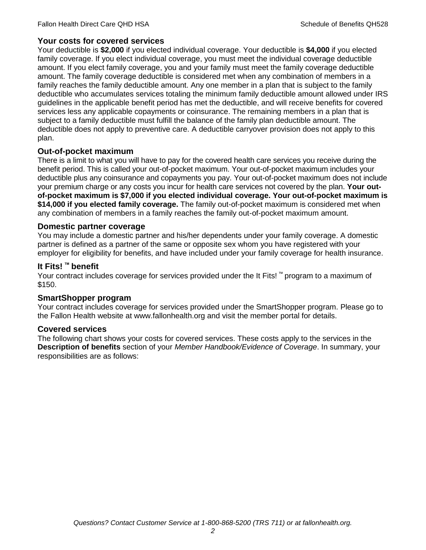### **Your costs for covered services**

Your deductible is **\$2,000** if you elected individual coverage. Your deductible is **\$4,000** if you elected family coverage. If you elect individual coverage, you must meet the individual coverage deductible amount. If you elect family coverage, you and your family must meet the family coverage deductible amount. The family coverage deductible is considered met when any combination of members in a family reaches the family deductible amount. Any one member in a plan that is subject to the family deductible who accumulates services totaling the minimum family deductible amount allowed under IRS guidelines in the applicable benefit period has met the deductible, and will receive benefits for covered services less any applicable copayments or coinsurance. The remaining members in a plan that is subject to a family deductible must fulfill the balance of the family plan deductible amount. The deductible does not apply to preventive care. A deductible carryover provision does not apply to this plan.

## **Out-of-pocket maximum**

There is a limit to what you will have to pay for the covered health care services you receive during the benefit period. This is called your out-of-pocket maximum. Your out-of-pocket maximum includes your deductible plus any coinsurance and copayments you pay. Your out-of-pocket maximum does not include your premium charge or any costs you incur for health care services not covered by the plan. **Your outof-pocket maximum is \$7,000 if you elected individual coverage. Your out-of-pocket maximum is \$14,000 if you elected family coverage.** The family out-of-pocket maximum is considered met when any combination of members in a family reaches the family out-of-pocket maximum amount.

### **Domestic partner coverage**

You may include a domestic partner and his/her dependents under your family coverage. A domestic partner is defined as a partner of the same or opposite sex whom you have registered with your employer for eligibility for benefits, and have included under your family coverage for health insurance.

## **It Fits! ™ benefit**

Your contract includes coverage for services provided under the It Fits! ™ program to a maximum of \$150.

### **SmartShopper program**

Your contract includes coverage for services provided under the SmartShopper program. Please go to the Fallon Health website at www.fallonhealth.org and visit the member portal for details.

### **Covered services**

The following chart shows your costs for covered services. These costs apply to the services in the **Description of benefits** section of your *Member Handbook/Evidence of Coverage*. In summary, your responsibilities are as follows: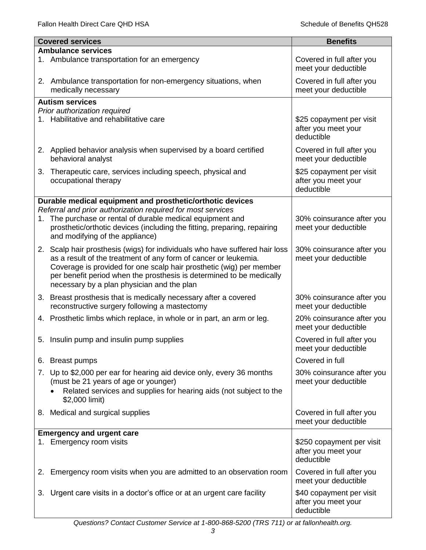|    | <b>Covered services</b>                                                                                                                                                                                                                                      | <b>Benefits</b>                                                |
|----|--------------------------------------------------------------------------------------------------------------------------------------------------------------------------------------------------------------------------------------------------------------|----------------------------------------------------------------|
|    | <b>Ambulance services</b>                                                                                                                                                                                                                                    |                                                                |
|    | 1. Ambulance transportation for an emergency                                                                                                                                                                                                                 | Covered in full after you<br>meet your deductible              |
|    | 2. Ambulance transportation for non-emergency situations, when<br>medically necessary                                                                                                                                                                        | Covered in full after you<br>meet your deductible              |
|    | <b>Autism services</b>                                                                                                                                                                                                                                       |                                                                |
|    | Prior authorization required                                                                                                                                                                                                                                 |                                                                |
|    | 1. Habilitative and rehabilitative care                                                                                                                                                                                                                      | \$25 copayment per visit<br>after you meet your<br>deductible  |
|    | 2. Applied behavior analysis when supervised by a board certified<br>behavioral analyst                                                                                                                                                                      | Covered in full after you<br>meet your deductible              |
| 3. | Therapeutic care, services including speech, physical and<br>occupational therapy                                                                                                                                                                            | \$25 copayment per visit<br>after you meet your<br>deductible  |
|    | Durable medical equipment and prosthetic/orthotic devices                                                                                                                                                                                                    |                                                                |
|    | Referral and prior authorization required for most services                                                                                                                                                                                                  |                                                                |
|    | 1. The purchase or rental of durable medical equipment and<br>prosthetic/orthotic devices (including the fitting, preparing, repairing<br>and modifying of the appliance)                                                                                    | 30% coinsurance after you<br>meet your deductible              |
|    | 2. Scalp hair prosthesis (wigs) for individuals who have suffered hair loss                                                                                                                                                                                  | 30% coinsurance after you                                      |
|    | as a result of the treatment of any form of cancer or leukemia.<br>Coverage is provided for one scalp hair prosthetic (wig) per member<br>per benefit period when the prosthesis is determined to be medically<br>necessary by a plan physician and the plan | meet your deductible                                           |
|    | 3. Breast prosthesis that is medically necessary after a covered                                                                                                                                                                                             | 30% coinsurance after you                                      |
|    | reconstructive surgery following a mastectomy                                                                                                                                                                                                                | meet your deductible                                           |
|    | 4. Prosthetic limbs which replace, in whole or in part, an arm or leg.                                                                                                                                                                                       | 20% coinsurance after you<br>meet your deductible              |
|    | 5. Insulin pump and insulin pump supplies                                                                                                                                                                                                                    | Covered in full after you<br>meet your deductible              |
|    | 6. Breast pumps                                                                                                                                                                                                                                              | Covered in full                                                |
|    | 7. Up to \$2,000 per ear for hearing aid device only, every 36 months<br>(must be 21 years of age or younger)<br>Related services and supplies for hearing aids (not subject to the                                                                          | 30% coinsurance after you<br>meet your deductible              |
|    | \$2,000 limit)                                                                                                                                                                                                                                               |                                                                |
|    | 8. Medical and surgical supplies                                                                                                                                                                                                                             | Covered in full after you<br>meet your deductible              |
|    | <b>Emergency and urgent care</b>                                                                                                                                                                                                                             |                                                                |
|    | 1. Emergency room visits                                                                                                                                                                                                                                     | \$250 copayment per visit<br>after you meet your<br>deductible |
| 2. | Emergency room visits when you are admitted to an observation room                                                                                                                                                                                           | Covered in full after you<br>meet your deductible              |
| 3. | Urgent care visits in a doctor's office or at an urgent care facility                                                                                                                                                                                        | \$40 copayment per visit<br>after you meet your<br>deductible  |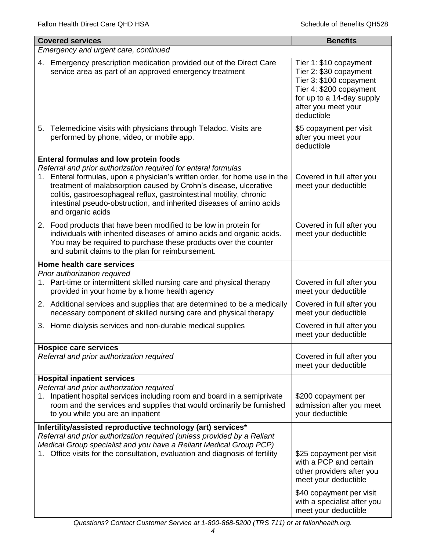|                                      | <b>Covered services</b>                                                                                                                                                                                                                                                                                                                                                               | <b>Benefits</b>                                                                                                                                                          |  |
|--------------------------------------|---------------------------------------------------------------------------------------------------------------------------------------------------------------------------------------------------------------------------------------------------------------------------------------------------------------------------------------------------------------------------------------|--------------------------------------------------------------------------------------------------------------------------------------------------------------------------|--|
| Emergency and urgent care, continued |                                                                                                                                                                                                                                                                                                                                                                                       |                                                                                                                                                                          |  |
|                                      | 4. Emergency prescription medication provided out of the Direct Care<br>service area as part of an approved emergency treatment                                                                                                                                                                                                                                                       | Tier 1: \$10 copayment<br>Tier 2: \$30 copayment<br>Tier 3: \$100 copayment<br>Tier 4: \$200 copayment<br>for up to a 14-day supply<br>after you meet your<br>deductible |  |
|                                      | 5. Telemedicine visits with physicians through Teladoc. Visits are<br>performed by phone, video, or mobile app.                                                                                                                                                                                                                                                                       | \$5 copayment per visit<br>after you meet your<br>deductible                                                                                                             |  |
|                                      | <b>Enteral formulas and low protein foods</b>                                                                                                                                                                                                                                                                                                                                         |                                                                                                                                                                          |  |
|                                      | Referral and prior authorization required for enteral formulas<br>1. Enteral formulas, upon a physician's written order, for home use in the<br>treatment of malabsorption caused by Crohn's disease, ulcerative<br>colitis, gastroesophageal reflux, gastrointestinal motility, chronic<br>intestinal pseudo-obstruction, and inherited diseases of amino acids<br>and organic acids | Covered in full after you<br>meet your deductible                                                                                                                        |  |
|                                      | 2. Food products that have been modified to be low in protein for<br>individuals with inherited diseases of amino acids and organic acids.<br>You may be required to purchase these products over the counter<br>and submit claims to the plan for reimbursement.                                                                                                                     | Covered in full after you<br>meet your deductible                                                                                                                        |  |
|                                      | Home health care services                                                                                                                                                                                                                                                                                                                                                             |                                                                                                                                                                          |  |
|                                      | Prior authorization required<br>1. Part-time or intermittent skilled nursing care and physical therapy<br>provided in your home by a home health agency                                                                                                                                                                                                                               | Covered in full after you<br>meet your deductible                                                                                                                        |  |
|                                      | 2. Additional services and supplies that are determined to be a medically<br>necessary component of skilled nursing care and physical therapy                                                                                                                                                                                                                                         | Covered in full after you<br>meet your deductible                                                                                                                        |  |
|                                      | 3. Home dialysis services and non-durable medical supplies                                                                                                                                                                                                                                                                                                                            | Covered in full after you<br>meet your deductible                                                                                                                        |  |
|                                      | <b>Hospice care services</b>                                                                                                                                                                                                                                                                                                                                                          |                                                                                                                                                                          |  |
|                                      | Referral and prior authorization required                                                                                                                                                                                                                                                                                                                                             | Covered in full after you<br>meet your deductible                                                                                                                        |  |
| 1.                                   | <b>Hospital inpatient services</b><br>Referral and prior authorization required<br>Inpatient hospital services including room and board in a semiprivate<br>room and the services and supplies that would ordinarily be furnished<br>to you while you are an inpatient                                                                                                                | \$200 copayment per<br>admission after you meet<br>your deductible                                                                                                       |  |
|                                      | Infertility/assisted reproductive technology (art) services*                                                                                                                                                                                                                                                                                                                          |                                                                                                                                                                          |  |
|                                      | Referral and prior authorization required (unless provided by a Reliant<br>Medical Group specialist and you have a Reliant Medical Group PCP)<br>Office visits for the consultation, evaluation and diagnosis of fertility                                                                                                                                                            | \$25 copayment per visit<br>with a PCP and certain<br>other providers after you<br>meet your deductible<br>\$40 copayment per visit                                      |  |
|                                      |                                                                                                                                                                                                                                                                                                                                                                                       | with a specialist after you<br>meet your deductible                                                                                                                      |  |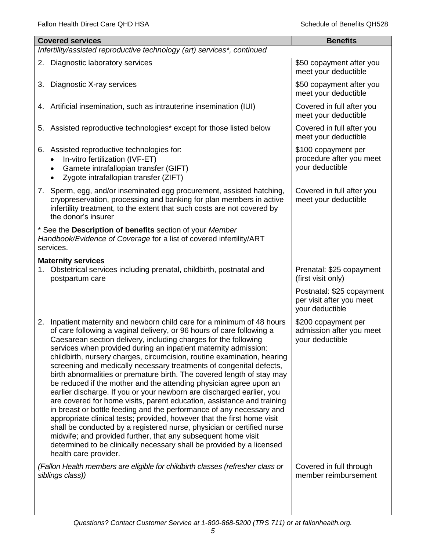| <b>Covered services</b>                                                                                                                                                                                                                                                                                                                                                                                                                                                                                                                                                                                                                                                                                                                                                                                                                                                                                                                                                                                                                                                                                                                     | <b>Benefits</b>                                                          |
|---------------------------------------------------------------------------------------------------------------------------------------------------------------------------------------------------------------------------------------------------------------------------------------------------------------------------------------------------------------------------------------------------------------------------------------------------------------------------------------------------------------------------------------------------------------------------------------------------------------------------------------------------------------------------------------------------------------------------------------------------------------------------------------------------------------------------------------------------------------------------------------------------------------------------------------------------------------------------------------------------------------------------------------------------------------------------------------------------------------------------------------------|--------------------------------------------------------------------------|
| Infertility/assisted reproductive technology (art) services*, continued                                                                                                                                                                                                                                                                                                                                                                                                                                                                                                                                                                                                                                                                                                                                                                                                                                                                                                                                                                                                                                                                     |                                                                          |
| 2. Diagnostic laboratory services                                                                                                                                                                                                                                                                                                                                                                                                                                                                                                                                                                                                                                                                                                                                                                                                                                                                                                                                                                                                                                                                                                           | \$50 copayment after you<br>meet your deductible                         |
| Diagnostic X-ray services<br>3.                                                                                                                                                                                                                                                                                                                                                                                                                                                                                                                                                                                                                                                                                                                                                                                                                                                                                                                                                                                                                                                                                                             | \$50 copayment after you<br>meet your deductible                         |
| 4. Artificial insemination, such as intrauterine insemination (IUI)                                                                                                                                                                                                                                                                                                                                                                                                                                                                                                                                                                                                                                                                                                                                                                                                                                                                                                                                                                                                                                                                         | Covered in full after you<br>meet your deductible                        |
| Assisted reproductive technologies* except for those listed below<br>5.                                                                                                                                                                                                                                                                                                                                                                                                                                                                                                                                                                                                                                                                                                                                                                                                                                                                                                                                                                                                                                                                     | Covered in full after you<br>meet your deductible                        |
| 6. Assisted reproductive technologies for:<br>In-vitro fertilization (IVF-ET)<br>$\bullet$<br>Gamete intrafallopian transfer (GIFT)<br>٠<br>Zygote intrafallopian transfer (ZIFT)                                                                                                                                                                                                                                                                                                                                                                                                                                                                                                                                                                                                                                                                                                                                                                                                                                                                                                                                                           | \$100 copayment per<br>procedure after you meet<br>your deductible       |
| 7. Sperm, egg, and/or inseminated egg procurement, assisted hatching,<br>cryopreservation, processing and banking for plan members in active<br>infertility treatment, to the extent that such costs are not covered by<br>the donor's insurer                                                                                                                                                                                                                                                                                                                                                                                                                                                                                                                                                                                                                                                                                                                                                                                                                                                                                              | Covered in full after you<br>meet your deductible                        |
| * See the Description of benefits section of your Member<br>Handbook/Evidence of Coverage for a list of covered infertility/ART<br>services.                                                                                                                                                                                                                                                                                                                                                                                                                                                                                                                                                                                                                                                                                                                                                                                                                                                                                                                                                                                                |                                                                          |
| <b>Maternity services</b><br>Obstetrical services including prenatal, childbirth, postnatal and<br>1.<br>postpartum care                                                                                                                                                                                                                                                                                                                                                                                                                                                                                                                                                                                                                                                                                                                                                                                                                                                                                                                                                                                                                    | Prenatal: \$25 copayment<br>(first visit only)                           |
|                                                                                                                                                                                                                                                                                                                                                                                                                                                                                                                                                                                                                                                                                                                                                                                                                                                                                                                                                                                                                                                                                                                                             | Postnatal: \$25 copayment<br>per visit after you meet<br>your deductible |
| 2. Inpatient maternity and newborn child care for a minimum of 48 hours<br>of care following a vaginal delivery, or 96 hours of care following a<br>Caesarean section delivery, including charges for the following<br>services when provided during an inpatient maternity admission:<br>childbirth, nursery charges, circumcision, routine examination, hearing<br>screening and medically necessary treatments of congenital defects,<br>birth abnormalities or premature birth. The covered length of stay may<br>be reduced if the mother and the attending physician agree upon an<br>earlier discharge. If you or your newborn are discharged earlier, you<br>are covered for home visits, parent education, assistance and training<br>in breast or bottle feeding and the performance of any necessary and<br>appropriate clinical tests; provided, however that the first home visit<br>shall be conducted by a registered nurse, physician or certified nurse<br>midwife; and provided further, that any subsequent home visit<br>determined to be clinically necessary shall be provided by a licensed<br>health care provider. | \$200 copayment per<br>admission after you meet<br>your deductible       |
| (Fallon Health members are eligible for childbirth classes (refresher class or<br>siblings class))                                                                                                                                                                                                                                                                                                                                                                                                                                                                                                                                                                                                                                                                                                                                                                                                                                                                                                                                                                                                                                          | Covered in full through<br>member reimbursement                          |
|                                                                                                                                                                                                                                                                                                                                                                                                                                                                                                                                                                                                                                                                                                                                                                                                                                                                                                                                                                                                                                                                                                                                             |                                                                          |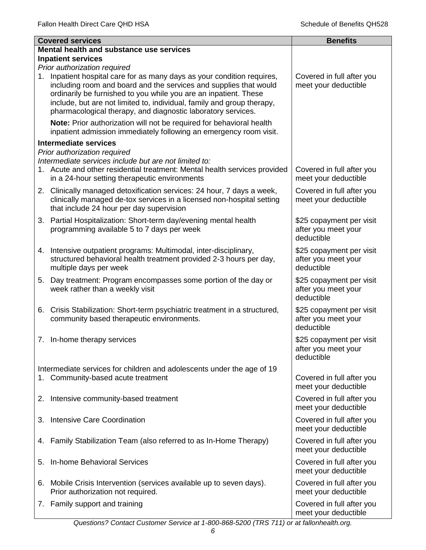|    | <b>Covered services</b>                                                                                                                                                                                                                                                                                                                                 | <b>Benefits</b>                                               |
|----|---------------------------------------------------------------------------------------------------------------------------------------------------------------------------------------------------------------------------------------------------------------------------------------------------------------------------------------------------------|---------------------------------------------------------------|
|    | Mental health and substance use services                                                                                                                                                                                                                                                                                                                |                                                               |
|    | <b>Inpatient services</b>                                                                                                                                                                                                                                                                                                                               |                                                               |
|    | Prior authorization required                                                                                                                                                                                                                                                                                                                            |                                                               |
| 1. | Inpatient hospital care for as many days as your condition requires,<br>including room and board and the services and supplies that would<br>ordinarily be furnished to you while you are an inpatient. These<br>include, but are not limited to, individual, family and group therapy,<br>pharmacological therapy, and diagnostic laboratory services. | Covered in full after you<br>meet your deductible             |
|    | Note: Prior authorization will not be required for behavioral health<br>inpatient admission immediately following an emergency room visit.                                                                                                                                                                                                              |                                                               |
|    | <b>Intermediate services</b>                                                                                                                                                                                                                                                                                                                            |                                                               |
|    | Prior authorization required                                                                                                                                                                                                                                                                                                                            |                                                               |
|    | Intermediate services include but are not limited to:<br>1. Acute and other residential treatment: Mental health services provided<br>in a 24-hour setting therapeutic environments                                                                                                                                                                     | Covered in full after you<br>meet your deductible             |
|    |                                                                                                                                                                                                                                                                                                                                                         |                                                               |
|    | 2. Clinically managed detoxification services: 24 hour, 7 days a week,<br>clinically managed de-tox services in a licensed non-hospital setting<br>that include 24 hour per day supervision                                                                                                                                                             | Covered in full after you<br>meet your deductible             |
|    | 3. Partial Hospitalization: Short-term day/evening mental health<br>programming available 5 to 7 days per week                                                                                                                                                                                                                                          | \$25 copayment per visit<br>after you meet your<br>deductible |
|    | 4. Intensive outpatient programs: Multimodal, inter-disciplinary,<br>structured behavioral health treatment provided 2-3 hours per day,<br>multiple days per week                                                                                                                                                                                       | \$25 copayment per visit<br>after you meet your<br>deductible |
|    | 5. Day treatment: Program encompasses some portion of the day or<br>week rather than a weekly visit                                                                                                                                                                                                                                                     | \$25 copayment per visit<br>after you meet your<br>deductible |
|    | 6. Crisis Stabilization: Short-term psychiatric treatment in a structured,<br>community based therapeutic environments.                                                                                                                                                                                                                                 | \$25 copayment per visit<br>after you meet your<br>deductible |
|    | 7. In-home therapy services                                                                                                                                                                                                                                                                                                                             | \$25 copayment per visit<br>after you meet your<br>deductible |
|    | Intermediate services for children and adolescents under the age of 19                                                                                                                                                                                                                                                                                  |                                                               |
| 1. | Community-based acute treatment                                                                                                                                                                                                                                                                                                                         | Covered in full after you<br>meet your deductible             |
| 2. | Intensive community-based treatment                                                                                                                                                                                                                                                                                                                     | Covered in full after you<br>meet your deductible             |
| 3. | Intensive Care Coordination                                                                                                                                                                                                                                                                                                                             | Covered in full after you<br>meet your deductible             |
| 4. | Family Stabilization Team (also referred to as In-Home Therapy)                                                                                                                                                                                                                                                                                         | Covered in full after you<br>meet your deductible             |
| 5. | In-home Behavioral Services                                                                                                                                                                                                                                                                                                                             | Covered in full after you<br>meet your deductible             |
| 6. | Mobile Crisis Intervention (services available up to seven days).<br>Prior authorization not required.                                                                                                                                                                                                                                                  | Covered in full after you<br>meet your deductible             |
|    | 7. Family support and training                                                                                                                                                                                                                                                                                                                          | Covered in full after you<br>meet your deductible             |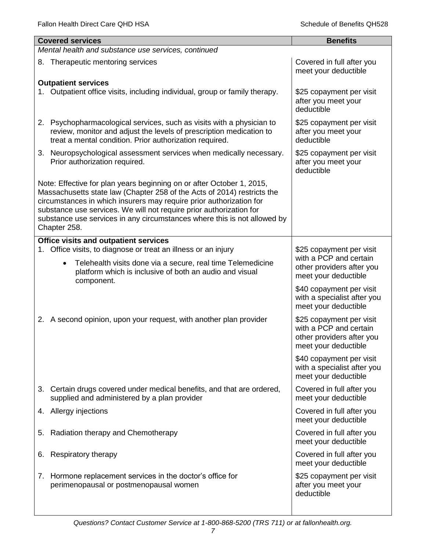| <b>Covered services</b>                                                                                                                                                                                                                                                                                                                                                                    | <b>Benefits</b>                                                                                         |
|--------------------------------------------------------------------------------------------------------------------------------------------------------------------------------------------------------------------------------------------------------------------------------------------------------------------------------------------------------------------------------------------|---------------------------------------------------------------------------------------------------------|
| Mental health and substance use services, continued                                                                                                                                                                                                                                                                                                                                        |                                                                                                         |
| Therapeutic mentoring services<br>8.                                                                                                                                                                                                                                                                                                                                                       | Covered in full after you<br>meet your deductible                                                       |
| <b>Outpatient services</b><br>1. Outpatient office visits, including individual, group or family therapy.                                                                                                                                                                                                                                                                                  | \$25 copayment per visit<br>after you meet your<br>deductible                                           |
| 2. Psychopharmacological services, such as visits with a physician to<br>review, monitor and adjust the levels of prescription medication to<br>treat a mental condition. Prior authorization required.                                                                                                                                                                                    | \$25 copayment per visit<br>after you meet your<br>deductible                                           |
| 3. Neuropsychological assessment services when medically necessary.<br>Prior authorization required.                                                                                                                                                                                                                                                                                       | \$25 copayment per visit<br>after you meet your<br>deductible                                           |
| Note: Effective for plan years beginning on or after October 1, 2015,<br>Massachusetts state law (Chapter 258 of the Acts of 2014) restricts the<br>circumstances in which insurers may require prior authorization for<br>substance use services. We will not require prior authorization for<br>substance use services in any circumstances where this is not allowed by<br>Chapter 258. |                                                                                                         |
| <b>Office visits and outpatient services</b><br>Office visits, to diagnose or treat an illness or an injury<br>1.                                                                                                                                                                                                                                                                          | \$25 copayment per visit                                                                                |
| Telehealth visits done via a secure, real time Telemedicine<br>$\bullet$<br>platform which is inclusive of both an audio and visual<br>component.                                                                                                                                                                                                                                          | with a PCP and certain<br>other providers after you<br>meet your deductible                             |
|                                                                                                                                                                                                                                                                                                                                                                                            | \$40 copayment per visit<br>with a specialist after you<br>meet your deductible                         |
| 2. A second opinion, upon your request, with another plan provider                                                                                                                                                                                                                                                                                                                         | \$25 copayment per visit<br>with a PCP and certain<br>other providers after you<br>meet your deductible |
|                                                                                                                                                                                                                                                                                                                                                                                            | \$40 copayment per visit<br>with a specialist after you<br>meet your deductible                         |
| 3. Certain drugs covered under medical benefits, and that are ordered,<br>supplied and administered by a plan provider                                                                                                                                                                                                                                                                     | Covered in full after you<br>meet your deductible                                                       |
| 4. Allergy injections                                                                                                                                                                                                                                                                                                                                                                      | Covered in full after you<br>meet your deductible                                                       |
| Radiation therapy and Chemotherapy<br>5.                                                                                                                                                                                                                                                                                                                                                   | Covered in full after you<br>meet your deductible                                                       |
| <b>Respiratory therapy</b><br>6.                                                                                                                                                                                                                                                                                                                                                           | Covered in full after you<br>meet your deductible                                                       |
| 7. Hormone replacement services in the doctor's office for<br>perimenopausal or postmenopausal women                                                                                                                                                                                                                                                                                       | \$25 copayment per visit<br>after you meet your<br>deductible                                           |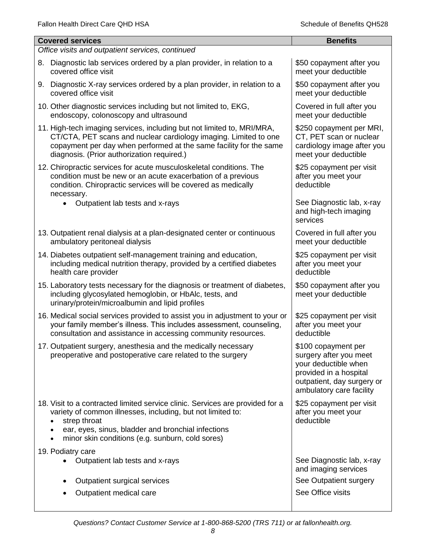| <b>Covered services</b>                                                                                                                                                                                                                                                | <b>Benefits</b>                                                                                                                                           |
|------------------------------------------------------------------------------------------------------------------------------------------------------------------------------------------------------------------------------------------------------------------------|-----------------------------------------------------------------------------------------------------------------------------------------------------------|
| Office visits and outpatient services, continued                                                                                                                                                                                                                       |                                                                                                                                                           |
| Diagnostic lab services ordered by a plan provider, in relation to a<br>8.<br>covered office visit                                                                                                                                                                     | \$50 copayment after you<br>meet your deductible                                                                                                          |
| 9. Diagnostic X-ray services ordered by a plan provider, in relation to a<br>covered office visit                                                                                                                                                                      | \$50 copayment after you<br>meet your deductible                                                                                                          |
| 10. Other diagnostic services including but not limited to, EKG,<br>endoscopy, colonoscopy and ultrasound                                                                                                                                                              | Covered in full after you<br>meet your deductible                                                                                                         |
| 11. High-tech imaging services, including but not limited to, MRI/MRA,<br>CT/CTA, PET scans and nuclear cardiology imaging. Limited to one<br>copayment per day when performed at the same facility for the same<br>diagnosis. (Prior authorization required.)         | \$250 copayment per MRI,<br>CT, PET scan or nuclear<br>cardiology image after you<br>meet your deductible                                                 |
| 12. Chiropractic services for acute musculoskeletal conditions. The<br>condition must be new or an acute exacerbation of a previous<br>condition. Chiropractic services will be covered as medically<br>necessary.                                                     | \$25 copayment per visit<br>after you meet your<br>deductible                                                                                             |
| Outpatient lab tests and x-rays<br>$\bullet$                                                                                                                                                                                                                           | See Diagnostic lab, x-ray<br>and high-tech imaging<br>services                                                                                            |
| 13. Outpatient renal dialysis at a plan-designated center or continuous<br>ambulatory peritoneal dialysis                                                                                                                                                              | Covered in full after you<br>meet your deductible                                                                                                         |
| 14. Diabetes outpatient self-management training and education,<br>including medical nutrition therapy, provided by a certified diabetes<br>health care provider                                                                                                       | \$25 copayment per visit<br>after you meet your<br>deductible                                                                                             |
| 15. Laboratory tests necessary for the diagnosis or treatment of diabetes,<br>including glycosylated hemoglobin, or HbAlc, tests, and<br>urinary/protein/microalbumin and lipid profiles                                                                               | \$50 copayment after you<br>meet your deductible                                                                                                          |
| 16. Medical social services provided to assist you in adjustment to your or<br>your family member's illness. This includes assessment, counseling,<br>consultation and assistance in accessing community resources.                                                    | \$25 copayment per visit<br>after you meet your<br>deductible                                                                                             |
| 17. Outpatient surgery, anesthesia and the medically necessary<br>preoperative and postoperative care related to the surgery                                                                                                                                           | \$100 copayment per<br>surgery after you meet<br>your deductible when<br>provided in a hospital<br>outpatient, day surgery or<br>ambulatory care facility |
| 18. Visit to a contracted limited service clinic. Services are provided for a<br>variety of common illnesses, including, but not limited to:<br>strep throat<br>ear, eyes, sinus, bladder and bronchial infections<br>minor skin conditions (e.g. sunburn, cold sores) | \$25 copayment per visit<br>after you meet your<br>deductible                                                                                             |
| 19. Podiatry care<br>Outpatient lab tests and x-rays                                                                                                                                                                                                                   | See Diagnostic lab, x-ray<br>and imaging services                                                                                                         |
| Outpatient surgical services                                                                                                                                                                                                                                           | See Outpatient surgery                                                                                                                                    |
| Outpatient medical care                                                                                                                                                                                                                                                | See Office visits                                                                                                                                         |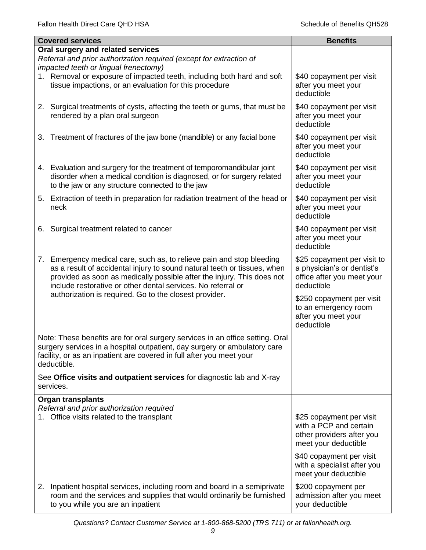| <b>Covered services</b> |                                                                                                                                                                                                                                                                                             | <b>Benefits</b>                                                                                         |
|-------------------------|---------------------------------------------------------------------------------------------------------------------------------------------------------------------------------------------------------------------------------------------------------------------------------------------|---------------------------------------------------------------------------------------------------------|
|                         | Oral surgery and related services                                                                                                                                                                                                                                                           |                                                                                                         |
|                         | Referral and prior authorization required (except for extraction of<br>impacted teeth or lingual frenectomy)                                                                                                                                                                                |                                                                                                         |
|                         | 1. Removal or exposure of impacted teeth, including both hard and soft<br>tissue impactions, or an evaluation for this procedure                                                                                                                                                            | \$40 copayment per visit<br>after you meet your<br>deductible                                           |
|                         | 2. Surgical treatments of cysts, affecting the teeth or gums, that must be<br>rendered by a plan oral surgeon                                                                                                                                                                               | \$40 copayment per visit<br>after you meet your<br>deductible                                           |
|                         | 3. Treatment of fractures of the jaw bone (mandible) or any facial bone                                                                                                                                                                                                                     | \$40 copayment per visit<br>after you meet your<br>deductible                                           |
|                         | 4. Evaluation and surgery for the treatment of temporomandibular joint<br>disorder when a medical condition is diagnosed, or for surgery related<br>to the jaw or any structure connected to the jaw                                                                                        | \$40 copayment per visit<br>after you meet your<br>deductible                                           |
|                         | 5. Extraction of teeth in preparation for radiation treatment of the head or<br>neck                                                                                                                                                                                                        | \$40 copayment per visit<br>after you meet your<br>deductible                                           |
| 6.                      | Surgical treatment related to cancer                                                                                                                                                                                                                                                        | \$40 copayment per visit<br>after you meet your<br>deductible                                           |
|                         | 7. Emergency medical care, such as, to relieve pain and stop bleeding<br>as a result of accidental injury to sound natural teeth or tissues, when<br>provided as soon as medically possible after the injury. This does not<br>include restorative or other dental services. No referral or | \$25 copayment per visit to<br>a physician's or dentist's<br>office after you meet your<br>deductible   |
|                         | authorization is required. Go to the closest provider.                                                                                                                                                                                                                                      | \$250 copayment per visit<br>to an emergency room<br>after you meet your<br>deductible                  |
|                         | Note: These benefits are for oral surgery services in an office setting. Oral<br>surgery services in a hospital outpatient, day surgery or ambulatory care<br>facility, or as an inpatient are covered in full after you meet your<br>deductible.                                           |                                                                                                         |
|                         | See Office visits and outpatient services for diagnostic lab and X-ray<br>services.                                                                                                                                                                                                         |                                                                                                         |
|                         | <b>Organ transplants</b>                                                                                                                                                                                                                                                                    |                                                                                                         |
|                         | Referral and prior authorization required<br>1. Office visits related to the transplant                                                                                                                                                                                                     | \$25 copayment per visit<br>with a PCP and certain<br>other providers after you<br>meet your deductible |
|                         |                                                                                                                                                                                                                                                                                             | \$40 copayment per visit<br>with a specialist after you<br>meet your deductible                         |
| 2.                      | Inpatient hospital services, including room and board in a semiprivate<br>room and the services and supplies that would ordinarily be furnished<br>to you while you are an inpatient                                                                                                        | \$200 copayment per<br>admission after you meet<br>your deductible                                      |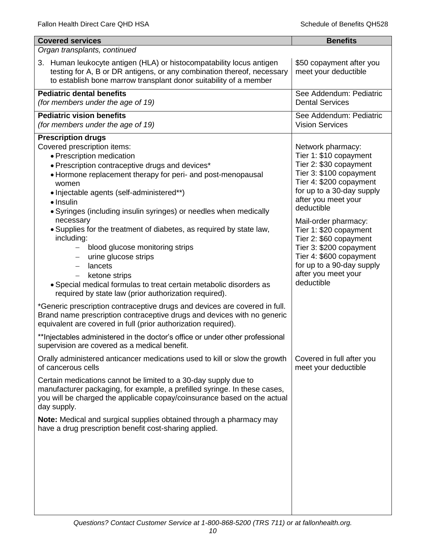| <b>Covered services</b>                                                                                                                                                                                                                                                                                                                                                                                                                                                                                                                                                                                                                                                                                                                                                                                                                                                                                                                                                                                                                                                  | <b>Benefits</b>                                                                                                                                                                                                                                                                                                                                                                                   |
|--------------------------------------------------------------------------------------------------------------------------------------------------------------------------------------------------------------------------------------------------------------------------------------------------------------------------------------------------------------------------------------------------------------------------------------------------------------------------------------------------------------------------------------------------------------------------------------------------------------------------------------------------------------------------------------------------------------------------------------------------------------------------------------------------------------------------------------------------------------------------------------------------------------------------------------------------------------------------------------------------------------------------------------------------------------------------|---------------------------------------------------------------------------------------------------------------------------------------------------------------------------------------------------------------------------------------------------------------------------------------------------------------------------------------------------------------------------------------------------|
| Organ transplants, continued                                                                                                                                                                                                                                                                                                                                                                                                                                                                                                                                                                                                                                                                                                                                                                                                                                                                                                                                                                                                                                             |                                                                                                                                                                                                                                                                                                                                                                                                   |
| 3. Human leukocyte antigen (HLA) or histocompatability locus antigen<br>testing for A, B or DR antigens, or any combination thereof, necessary<br>to establish bone marrow transplant donor suitability of a member                                                                                                                                                                                                                                                                                                                                                                                                                                                                                                                                                                                                                                                                                                                                                                                                                                                      | \$50 copayment after you<br>meet your deductible                                                                                                                                                                                                                                                                                                                                                  |
| <b>Pediatric dental benefits</b><br>(for members under the age of 19)                                                                                                                                                                                                                                                                                                                                                                                                                                                                                                                                                                                                                                                                                                                                                                                                                                                                                                                                                                                                    | See Addendum: Pediatric<br><b>Dental Services</b>                                                                                                                                                                                                                                                                                                                                                 |
| <b>Pediatric vision benefits</b><br>(for members under the age of 19)                                                                                                                                                                                                                                                                                                                                                                                                                                                                                                                                                                                                                                                                                                                                                                                                                                                                                                                                                                                                    | See Addendum: Pediatric<br><b>Vision Services</b>                                                                                                                                                                                                                                                                                                                                                 |
| <b>Prescription drugs</b><br>Covered prescription items:<br>• Prescription medication<br>• Prescription contraceptive drugs and devices*<br>• Hormone replacement therapy for peri- and post-menopausal<br>women<br>• Injectable agents (self-administered**)<br>$\bullet$ Insulin<br>• Syringes (including insulin syringes) or needles when medically<br>necessary<br>. Supplies for the treatment of diabetes, as required by state law,<br>including:<br>blood glucose monitoring strips<br>$\overline{\phantom{m}}$<br>urine glucose strips<br>lancets<br>ketone strips<br>• Special medical formulas to treat certain metabolic disorders as<br>required by state law (prior authorization required).<br>*Generic prescription contraceptive drugs and devices are covered in full.<br>Brand name prescription contraceptive drugs and devices with no generic<br>equivalent are covered in full (prior authorization required).<br>**Injectables administered in the doctor's office or under other professional<br>supervision are covered as a medical benefit. | Network pharmacy:<br>Tier 1: \$10 copayment<br>Tier 2: \$30 copayment<br>Tier 3: \$100 copayment<br>Tier 4: \$200 copayment<br>for up to a 30-day supply<br>after you meet your<br>deductible<br>Mail-order pharmacy:<br>Tier 1: \$20 copayment<br>Tier 2: \$60 copayment<br>Tier 3: \$200 copayment<br>Tier 4: \$600 copayment<br>for up to a 90-day supply<br>after you meet your<br>deductible |
| Orally administered anticancer medications used to kill or slow the growth<br>of cancerous cells<br>Certain medications cannot be limited to a 30-day supply due to<br>manufacturer packaging, for example, a prefilled syringe. In these cases,<br>you will be charged the applicable copay/coinsurance based on the actual<br>day supply.                                                                                                                                                                                                                                                                                                                                                                                                                                                                                                                                                                                                                                                                                                                              | Covered in full after you<br>meet your deductible                                                                                                                                                                                                                                                                                                                                                 |
| <b>Note:</b> Medical and surgical supplies obtained through a pharmacy may<br>have a drug prescription benefit cost-sharing applied.                                                                                                                                                                                                                                                                                                                                                                                                                                                                                                                                                                                                                                                                                                                                                                                                                                                                                                                                     |                                                                                                                                                                                                                                                                                                                                                                                                   |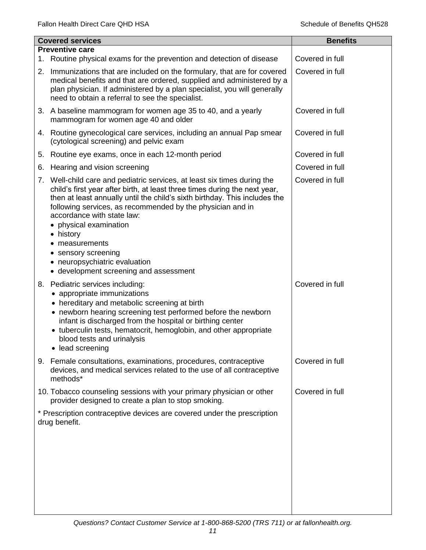|    | <b>Covered services</b>                                                                                                                                                                                                                                                                                                                                                                                                                                                                   | <b>Benefits</b> |
|----|-------------------------------------------------------------------------------------------------------------------------------------------------------------------------------------------------------------------------------------------------------------------------------------------------------------------------------------------------------------------------------------------------------------------------------------------------------------------------------------------|-----------------|
| 1. | <b>Preventive care</b><br>Routine physical exams for the prevention and detection of disease                                                                                                                                                                                                                                                                                                                                                                                              | Covered in full |
| 2. | Immunizations that are included on the formulary, that are for covered<br>medical benefits and that are ordered, supplied and administered by a<br>plan physician. If administered by a plan specialist, you will generally<br>need to obtain a referral to see the specialist.                                                                                                                                                                                                           | Covered in full |
|    | 3. A baseline mammogram for women age 35 to 40, and a yearly<br>mammogram for women age 40 and older                                                                                                                                                                                                                                                                                                                                                                                      | Covered in full |
|    | 4. Routine gynecological care services, including an annual Pap smear<br>(cytological screening) and pelvic exam                                                                                                                                                                                                                                                                                                                                                                          | Covered in full |
| 5. | Routine eye exams, once in each 12-month period                                                                                                                                                                                                                                                                                                                                                                                                                                           | Covered in full |
| 6. | Hearing and vision screening                                                                                                                                                                                                                                                                                                                                                                                                                                                              | Covered in full |
| 7. | Well-child care and pediatric services, at least six times during the<br>child's first year after birth, at least three times during the next year,<br>then at least annually until the child's sixth birthday. This includes the<br>following services, as recommended by the physician and in<br>accordance with state law:<br>physical examination<br>• history<br>measurements<br>٠<br>• sensory screening<br>• neuropsychiatric evaluation<br>• development screening and assessment | Covered in full |
| 8. | Pediatric services including:<br>• appropriate immunizations<br>• hereditary and metabolic screening at birth<br>• newborn hearing screening test performed before the newborn<br>infant is discharged from the hospital or birthing center<br>• tuberculin tests, hematocrit, hemoglobin, and other appropriate<br>blood tests and urinalysis<br>• lead screening                                                                                                                        | Covered in full |
|    | 9. Female consultations, examinations, procedures, contraceptive<br>devices, and medical services related to the use of all contraceptive<br>methods*                                                                                                                                                                                                                                                                                                                                     | Covered in full |
|    | 10. Tobacco counseling sessions with your primary physician or other<br>provider designed to create a plan to stop smoking.                                                                                                                                                                                                                                                                                                                                                               | Covered in full |
|    | * Prescription contraceptive devices are covered under the prescription<br>drug benefit.                                                                                                                                                                                                                                                                                                                                                                                                  |                 |
|    |                                                                                                                                                                                                                                                                                                                                                                                                                                                                                           |                 |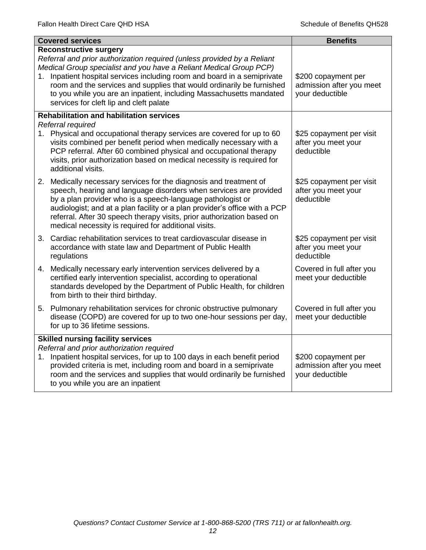|    | <b>Covered services</b>                                                                                                                                                                                                                                                                                                                                                                                                                            | <b>Benefits</b>                                                    |
|----|----------------------------------------------------------------------------------------------------------------------------------------------------------------------------------------------------------------------------------------------------------------------------------------------------------------------------------------------------------------------------------------------------------------------------------------------------|--------------------------------------------------------------------|
| 1. | <b>Reconstructive surgery</b><br>Referral and prior authorization required (unless provided by a Reliant<br>Medical Group specialist and you have a Reliant Medical Group PCP)<br>Inpatient hospital services including room and board in a semiprivate<br>room and the services and supplies that would ordinarily be furnished<br>to you while you are an inpatient, including Massachusetts mandated<br>services for cleft lip and cleft palate | \$200 copayment per<br>admission after you meet<br>your deductible |
|    | <b>Rehabilitation and habilitation services</b><br>Referral required<br>1. Physical and occupational therapy services are covered for up to 60<br>visits combined per benefit period when medically necessary with a<br>PCP referral. After 60 combined physical and occupational therapy<br>visits, prior authorization based on medical necessity is required for<br>additional visits.                                                          | \$25 copayment per visit<br>after you meet your<br>deductible      |
|    | 2. Medically necessary services for the diagnosis and treatment of<br>speech, hearing and language disorders when services are provided<br>by a plan provider who is a speech-language pathologist or<br>audiologist; and at a plan facility or a plan provider's office with a PCP<br>referral. After 30 speech therapy visits, prior authorization based on<br>medical necessity is required for additional visits.                              | \$25 copayment per visit<br>after you meet your<br>deductible      |
|    | 3. Cardiac rehabilitation services to treat cardiovascular disease in<br>accordance with state law and Department of Public Health<br>regulations                                                                                                                                                                                                                                                                                                  | \$25 copayment per visit<br>after you meet your<br>deductible      |
|    | 4. Medically necessary early intervention services delivered by a<br>certified early intervention specialist, according to operational<br>standards developed by the Department of Public Health, for children<br>from birth to their third birthday.                                                                                                                                                                                              | Covered in full after you<br>meet your deductible                  |
|    | 5. Pulmonary rehabilitation services for chronic obstructive pulmonary<br>disease (COPD) are covered for up to two one-hour sessions per day,<br>for up to 36 lifetime sessions.                                                                                                                                                                                                                                                                   | Covered in full after you<br>meet your deductible                  |
| 1. | <b>Skilled nursing facility services</b><br>Referral and prior authorization required<br>Inpatient hospital services, for up to 100 days in each benefit period<br>provided criteria is met, including room and board in a semiprivate<br>room and the services and supplies that would ordinarily be furnished<br>to you while you are an inpatient                                                                                               | \$200 copayment per<br>admission after you meet<br>your deductible |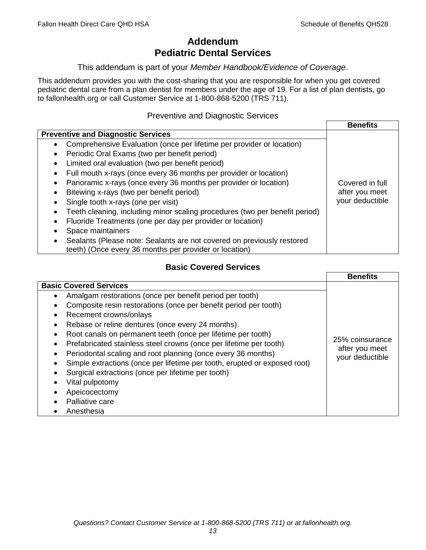# **Addendum Pediatric Dental Services**

### This addendum is part of your *Member Handbook/Evidence of Coverage*.

This addendum provides you with the cost-sharing that you are responsible for when you get covered pediatric dental care from a plan dentist for members under the age of 19. For a list of plan dentists, go to fallonhealth.org or call Customer Service at 1-800-868-5200 (TRS 711).

### Preventive and Diagnostic Services

|                                                                                                                                  | <b>Benefits</b> |
|----------------------------------------------------------------------------------------------------------------------------------|-----------------|
| <b>Preventive and Diagnostic Services</b>                                                                                        |                 |
| Comprehensive Evaluation (once per lifetime per provider or location)<br>$\bullet$                                               |                 |
| Periodic Oral Exams (two per benefit period)                                                                                     |                 |
| Limited oral evaluation (two per benefit period)                                                                                 |                 |
| Full mouth x-rays (once every 36 months per provider or location)                                                                |                 |
| Panoramic x-rays (once every 36 months per provider or location)                                                                 | Covered in full |
| Bitewing x-rays (two per benefit period)                                                                                         | after you meet  |
| Single tooth x-rays (one per visit)                                                                                              | your deductible |
| Teeth cleaning, including minor scaling procedures (two per benefit period)                                                      |                 |
| Fluoride Treatments (one per day per provider or location)                                                                       |                 |
| Space maintainers                                                                                                                |                 |
| Sealants (Please note: Sealants are not covered on previously restored<br>teeth) (Once every 36 months per provider or location) |                 |

## **Basic Covered Services**

|                                                                           | <b>Benefits</b>                   |
|---------------------------------------------------------------------------|-----------------------------------|
| <b>Basic Covered Services</b>                                             |                                   |
| Amalgam restorations (once per benefit period per tooth)                  |                                   |
| Composite resin restorations (once per benefit period per tooth)          |                                   |
| Recement crowns/onlays                                                    |                                   |
| Rebase or reline dentures (once every 24 months)                          |                                   |
| Root canals on permanent teeth (once per lifetime per tooth)              |                                   |
| Prefabricated stainless steel crowns (once per lifetime per tooth)        | 25% coinsurance                   |
| Periodontal scaling and root planning (once every 36 months)              | after you meet<br>your deductible |
| Simple extractions (once per lifetime per tooth, erupted or exposed root) |                                   |
| Surgical extractions (once per lifetime per tooth)                        |                                   |
| Vital pulpotomy                                                           |                                   |
| Apeicocectomy                                                             |                                   |
| Palliative care                                                           |                                   |
| Anesthesia                                                                |                                   |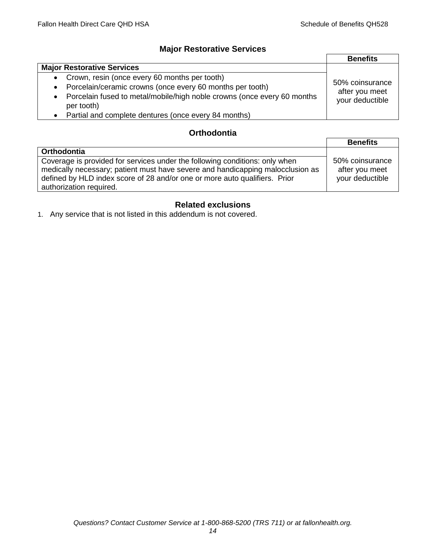### **Major Restorative Services**

|                                                                                                    | <b>Benefits</b>                   |
|----------------------------------------------------------------------------------------------------|-----------------------------------|
| <b>Major Restorative Services</b>                                                                  |                                   |
| Crown, resin (once every 60 months per tooth)<br>$\bullet$                                         | 50% coinsurance<br>after you meet |
| Porcelain/ceramic crowns (once every 60 months per tooth)<br>$\bullet$                             |                                   |
| Porcelain fused to metal/mobile/high noble crowns (once every 60 months<br>$\bullet$<br>per tooth) | your deductible                   |
| Partial and complete dentures (once every 84 months)                                               |                                   |

## **Orthodontia**

|                                                                                                                                                                                                                                                                        | <b>Benefits</b>                                      |
|------------------------------------------------------------------------------------------------------------------------------------------------------------------------------------------------------------------------------------------------------------------------|------------------------------------------------------|
| Orthodontia                                                                                                                                                                                                                                                            |                                                      |
| Coverage is provided for services under the following conditions: only when<br>medically necessary; patient must have severe and handicapping malocclusion as<br>defined by HLD index score of 28 and/or one or more auto qualifiers. Prior<br>authorization required. | 50% coinsurance<br>after you meet<br>your deductible |

## **Related exclusions**

1. Any service that is not listed in this addendum is not covered.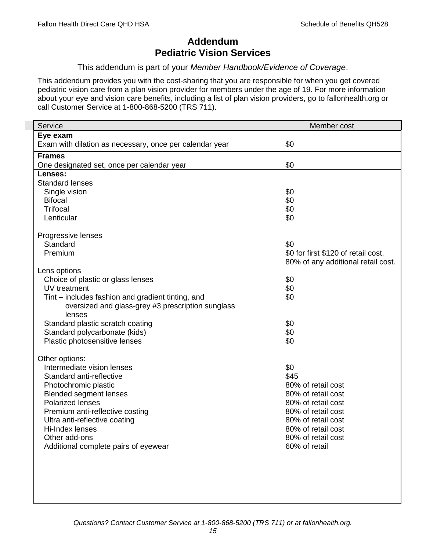# **Addendum Pediatric Vision Services**

### This addendum is part of your *Member Handbook/Evidence of Coverage*.

This addendum provides you with the cost-sharing that you are responsible for when you get covered pediatric vision care from a plan vision provider for members under the age of 19. For more information about your eye and vision care benefits, including a list of plan vision providers, go to fallonhealth.org or call Customer Service at 1-800-868-5200 (TRS 711).

| Service                                                 | Member cost                         |
|---------------------------------------------------------|-------------------------------------|
| Eye exam                                                |                                     |
| Exam with dilation as necessary, once per calendar year | \$0                                 |
| <b>Frames</b>                                           |                                     |
| One designated set, once per calendar year              | \$0                                 |
| Lenses:                                                 |                                     |
| <b>Standard lenses</b>                                  |                                     |
| Single vision                                           | \$0                                 |
| <b>Bifocal</b>                                          | \$0                                 |
| <b>Trifocal</b>                                         | \$0                                 |
| Lenticular                                              | \$0                                 |
| Progressive lenses                                      |                                     |
| Standard                                                | \$0                                 |
| Premium                                                 | \$0 for first \$120 of retail cost, |
|                                                         | 80% of any additional retail cost.  |
| Lens options                                            |                                     |
| Choice of plastic or glass lenses                       | \$0                                 |
| UV treatment                                            | \$0                                 |
| Tint – includes fashion and gradient tinting, and       | \$0                                 |
| oversized and glass-grey #3 prescription sunglass       |                                     |
| lenses                                                  |                                     |
| Standard plastic scratch coating                        | \$0                                 |
| Standard polycarbonate (kids)                           | \$0                                 |
| Plastic photosensitive lenses                           | \$0                                 |
| Other options:                                          |                                     |
| Intermediate vision lenses                              | \$0                                 |
| Standard anti-reflective                                | \$45                                |
| Photochromic plastic                                    | 80% of retail cost                  |
| <b>Blended segment lenses</b>                           | 80% of retail cost                  |
| <b>Polarized lenses</b>                                 | 80% of retail cost                  |
| Premium anti-reflective costing                         | 80% of retail cost                  |
| Ultra anti-reflective coating                           | 80% of retail cost                  |
| Hi-Index lenses                                         | 80% of retail cost                  |
| Other add-ons                                           | 80% of retail cost                  |
| Additional complete pairs of eyewear                    | 60% of retail                       |
|                                                         |                                     |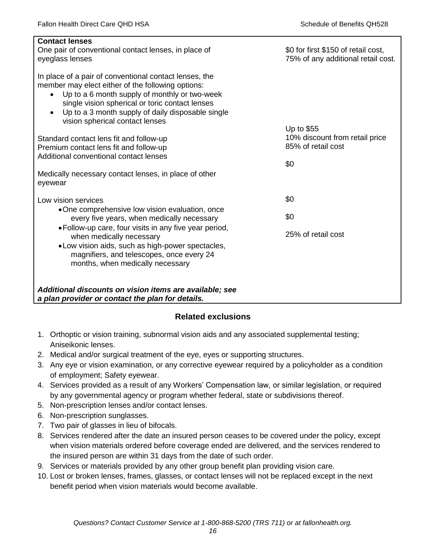| <b>Contact lenses</b><br>One pair of conventional contact lenses, in place of<br>eyeglass lenses                                                                                                                                                                                                                                  | \$0 for first \$150 of retail cost,<br>75% of any additional retail cost. |
|-----------------------------------------------------------------------------------------------------------------------------------------------------------------------------------------------------------------------------------------------------------------------------------------------------------------------------------|---------------------------------------------------------------------------|
| In place of a pair of conventional contact lenses, the<br>member may elect either of the following options:<br>Up to a 6 month supply of monthly or two-week<br>$\bullet$<br>single vision spherical or toric contact lenses<br>Up to a 3 month supply of daily disposable single<br>$\bullet$<br>vision spherical contact lenses |                                                                           |
|                                                                                                                                                                                                                                                                                                                                   | Up to \$55                                                                |
| Standard contact lens fit and follow-up                                                                                                                                                                                                                                                                                           | 10% discount from retail price<br>85% of retail cost                      |
| Premium contact lens fit and follow-up<br>Additional conventional contact lenses                                                                                                                                                                                                                                                  |                                                                           |
|                                                                                                                                                                                                                                                                                                                                   | \$0                                                                       |
| Medically necessary contact lenses, in place of other<br>eyewear                                                                                                                                                                                                                                                                  |                                                                           |
| Low vision services                                                                                                                                                                                                                                                                                                               | \$0                                                                       |
| •One comprehensive low vision evaluation, once<br>every five years, when medically necessary                                                                                                                                                                                                                                      | \$0                                                                       |
| • Follow-up care, four visits in any five year period,<br>when medically necessary<br>• Low vision aids, such as high-power spectacles,<br>magnifiers, and telescopes, once every 24                                                                                                                                              | 25% of retail cost                                                        |
| months, when medically necessary                                                                                                                                                                                                                                                                                                  |                                                                           |
| Additional discounts on vision items are available; see<br>a plan provider or contact the plan for details.                                                                                                                                                                                                                       |                                                                           |

## **Related exclusions**

- 1. Orthoptic or vision training, subnormal vision aids and any associated supplemental testing; Aniseikonic lenses.
- 2. Medical and/or surgical treatment of the eye, eyes or supporting structures.
- 3. Any eye or vision examination, or any corrective eyewear required by a policyholder as a condition of employment; Safety eyewear.
- 4. Services provided as a result of any Workers' Compensation law, or similar legislation, or required by any governmental agency or program whether federal, state or subdivisions thereof.
- 5. Non-prescription lenses and/or contact lenses.
- 6. Non-prescription sunglasses.
- 7. Two pair of glasses in lieu of bifocals.
- 8. Services rendered after the date an insured person ceases to be covered under the policy, except when vision materials ordered before coverage ended are delivered, and the services rendered to the insured person are within 31 days from the date of such order.
- 9. Services or materials provided by any other group benefit plan providing vision care.
- 10. Lost or broken lenses, frames, glasses, or contact lenses will not be replaced except in the next benefit period when vision materials would become available.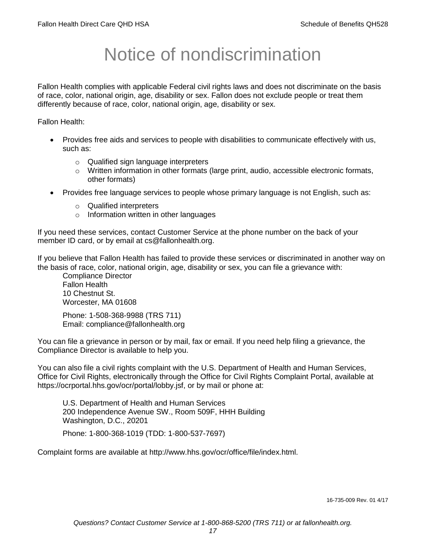# Notice of nondiscrimination

Fallon Health complies with applicable Federal civil rights laws and does not discriminate on the basis of race, color, national origin, age, disability or sex. Fallon does not exclude people or treat them differently because of race, color, national origin, age, disability or sex.

Fallon Health:

- Provides free aids and services to people with disabilities to communicate effectively with us, such as:
	- o Qualified sign language interpreters
	- $\circ$  Written information in other formats (large print, audio, accessible electronic formats, other formats)
- Provides free language services to people whose primary language is not English, such as:
	- o Qualified interpreters
	- o Information written in other languages

If you need these services, contact Customer Service at the phone number on the back of your member ID card, or by email at cs@fallonhealth.org.

If you believe that Fallon Health has failed to provide these services or discriminated in another way on the basis of race, color, national origin, age, disability or sex, you can file a grievance with:

Compliance Director Fallon Health 10 Chestnut St. Worcester, MA 01608

Phone: 1-508-368-9988 (TRS 711) Email: compliance@fallonhealth.org

You can file a grievance in person or by mail, fax or email. If you need help filing a grievance, the Compliance Director is available to help you.

You can also file a civil rights complaint with the U.S. Department of Health and Human Services, Office for Civil Rights, electronically through the Office for Civil Rights Complaint Portal, available at https://ocrportal.hhs.gov/ocr/portal/lobby.jsf, or by mail or phone at:

U.S. Department of Health and Human Services 200 Independence Avenue SW., Room 509F, HHH Building Washington, D.C., 20201

Phone: 1-800-368-1019 (TDD: 1-800-537-7697)

Complaint forms are available at http://www.hhs.gov/ocr/office/file/index.html.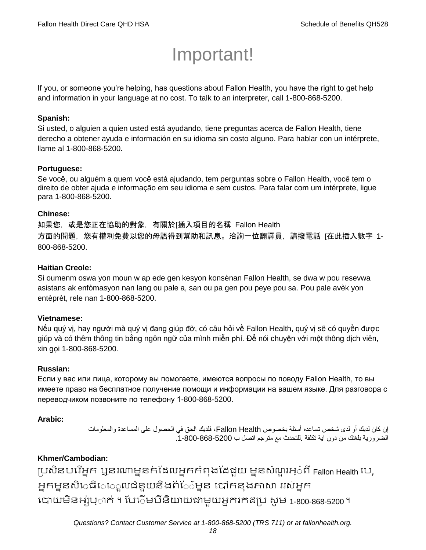# Important!

If you, or someone you're helping, has questions about Fallon Health, you have the right to get help and information in your language at no cost. To talk to an interpreter, call 1-800-868-5200.

### **Spanish:**

Si usted, o alguien a quien usted está ayudando, tiene preguntas acerca de Fallon Health, tiene derecho a obtener ayuda e información en su idioma sin costo alguno. Para hablar con un intérprete, llame al 1-800-868-5200.

### **Portuguese:**

Se você, ou alguém a quem você está ajudando, tem perguntas sobre o Fallon Health, você tem o direito de obter ajuda e informação em seu idioma e sem custos. Para falar com um intérprete, ligue para 1-800-868-5200.

### **Chinese:**

如果您,或是您正在協助的對象,有關於[插入項目的名稱 Fallon Health 方面的問題,您有權利免費以您的母語得到幫助和訊息。洽詢一位翻譯員,請撥電話 [在此插入數字 1- 800-868-5200.

### **Haitian Creole:**

Si oumenm oswa yon moun w ap ede gen kesyon konsènan Fallon Health, se dwa w pou resevwa asistans ak enfòmasyon nan lang ou pale a, san ou pa gen pou peye pou sa. Pou pale avèk yon entèprèt, rele nan 1-800-868-5200.

### **Vietnamese:**

Nếu quý vị, hay người mà quý vị đang giúp đỡ, có câu hỏi về Fallon Health, quý vị sẽ có quyền được giúp và có thêm thông tin bằng ngôn ngữ của mình miễn phí. Để nói chuyện với một thông dịch viên, xin gọi 1-800-868-5200.

### **Russian:**

Если у вас или лица, которому вы помогаете, имеются вопросы по поводу Fallon Health, то вы имеете право на бесплатное получение помощи и информации на вашем языке. Для разговора с переводчиком позвоните по телефону 1-800-868-5200.

### **Arabic:**

إن كان لديك أو لدى شخص تساعده أسئلة بخصوص Health Fallon، فلديك الحق في الحصول على المساعدة والمعلومات الضرورية بلغتك من دون اية تكلفة .للتحدث مع مترجم اتصل ب .1-800-868-5200

### **Khmer/Cambodian:**

ប្រសិនបរើអ្នក ឬនរណាម្ននក់ដែលអ្នកកំពុងដែដួយ ម្ននសំណួរអ្៎ពី Fallon Health បេ, អ្នកម្ននសិេធិេេួលជំនួយនិងព័ែ៌ម្នន បៅកនុងភាសា ររស់អ្នក រោយម្ិនអ្ស់រ្ំ ក់ ។ ដររំម្ រនី ិយាយជាម្ួយអ្នក កែប្រ សូ ម្ 1-800-868-5200 ។

*Questions? Contact Customer Service at 1-800-868-5200 (TRS 711) or at fallonhealth.org.*